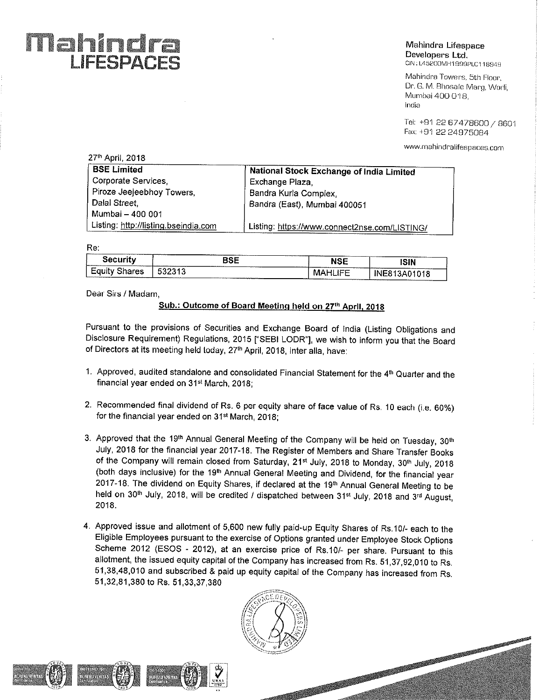### Mahindr'a . » Lifespaoe Developers Ltd.<br>CIN:L45200MH1999PLC118949

Mahindra Towers, 5th Floor, Dr. G. M. Bhosale Marg, Worli, Mumbai 400 018, India

Tel: +91 22 57478600/ <sup>8801</sup> Fax: +91 22 24975084

www.mahindralifespaces.com

| 27 <sup>th</sup> April, 2018         |                                               |
|--------------------------------------|-----------------------------------------------|
| <b>BSE Limited</b>                   | National Stock Exchange of India Limited      |
| Corporate Services,                  | Exchange Plaza,                               |
| Piroze Jeejeebhoy Towers,            | Bandra Kurla Complex,                         |
| Dalal Street,                        | Bandra (East), Mumbai 400051                  |
| Mumbai - 400 001                     |                                               |
| Listing: http://listing.bseindia.com | Listing: https://www.connect2nse.com/LISTING/ |

Re:

| ---------------<br><b>2-Announcements</b> | $\mathbf{m}$ and $\mathbf{m}$<br>.                                                                                        | <b>TRANSMISSION</b><br><br>ິ                                                                                        | ISIN<br>.                             |
|-------------------------------------------|---------------------------------------------------------------------------------------------------------------------------|---------------------------------------------------------------------------------------------------------------------|---------------------------------------|
| . .<br>es<br>----------------             | <b>The American Science Corporation</b><br>_____________<br>______________<br><b>The Constitution of the Constitution</b> | <b>Telephone Avenue</b><br><b><i><u>Property Associations</u></i></b><br>---<br>. .<br>. .<br>_________<br>-------- | ---------<br>------------<br>-------- |

Dear Sirs / Madam,

LIFESPACES

### Sub.: Outcome of Board Meetinq held on 27'h April, <sup>2018</sup>

Pursuant to the provisions of Securities and Exchange Board of india (Listing Obligations and Disclosure Requirement) Regulations, <sup>2015</sup> ["SEBl LODR"], we wish to inform you that the Board of Directors at its meeting held today, 27<sup>th</sup> April, 2018, Inter alla, have:

- 1. Approved, audited standalone and consolidated Financial Statement for the 4m Quarter and the financial year ended on 31<sup>st</sup> March, 2018;
- 2. Recommended final dividend of Rs. 6 per equity share of face value of Rs. 10 each (i.e. 60%) for the financial year ended on 31<sup>st</sup> March, 2018;
- 3. Approved that the 19<sup>th</sup> Annual General Meeting of the Company will be held on Tuesday, 30<sup>th</sup> July, 2018 for the financial year 2017-18. The Register of Members and Share Transfer Books of the Company will remain closed from Saturday, 21<sup>st</sup> July, 2018 to Monday, 30<sup>th</sup> July, 2018 (both days inclusive) for the 19'h Annual General Meeting and Dividend, for the financial year 2017-18. The dividend on Equity Shares, if declared at the 19<sup>th</sup> Annual General Meeting to be held on 30<sup>th</sup> July, 2018, will be credited / dispatched between 31<sup>st</sup> July, 2018 and 3<sup>rd</sup> August, 2018.
- 4, Approved issue and allotment of 5,600 new fully paid~up Equity Shares of Rs.10/- each to the Eligible Employees pursuant to the exercise of Options granted under Employee Stock Options Scheme 2012 (ESOS - 2012), at an exercise price of Rs.10/- per share. Pursuant to this allotment, the issued equity capital of the Company has increased from Rs. 51,37,92,010 to Rs. 51,38,48,010 and subscribed & paid up equity capital of the Company has increased from Rs. 51,32,81,380 to Rs. 51.33,37,380



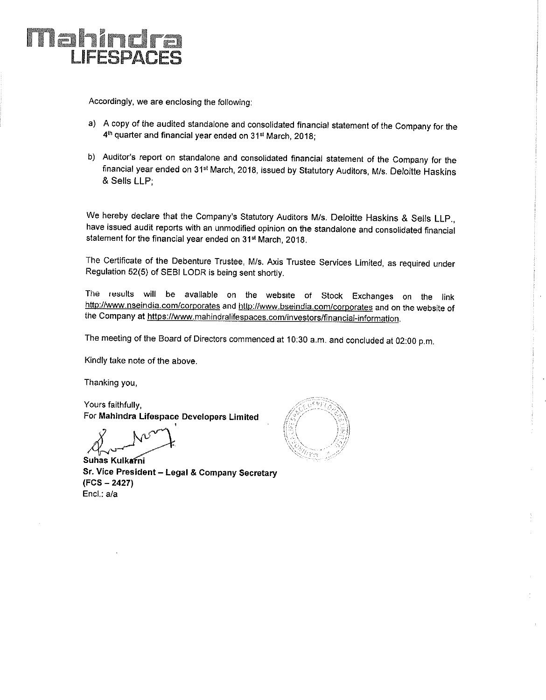

Accordingly, we are enclosing the following:

- a) <sup>A</sup> copy of the audited standalone and consolidated financial statement of the Company for the 4<sup>th</sup> quarter and financial year ended on 31<sup>st</sup> March, 2018;
- b) Auditor's report on standalone and consolidated financial statement of the Company for the financial year ended on 31<sup>st</sup> March, 2018, issued by Statutory Auditors, M/s. Deloitte Haskins & Sells LLP;

We hereby declare that the Company's Statutory Auditors M/s. Deloitte Haskins & Sells LLP., have issued audit reports with an unmodified opinion on the standalone and consolidated financial statement for the financial year ended on 315' March, 2018.

The Certificate of the Debenture Trustee, M/s. Axis Trustee Services Limited, as required under Regulation 52(5) of SEBl LODR is being sent shortly.

The results will be avallable on the website of Stock Exchanges on the link http://www.nseindia.com/corporates and http://www.bseindia.com/corporates and on the website of the Company at https://www.mahindralifespaces.com/investors/financial-information.

The meeting of the Board of Directors commenced at 10:30 a.m. and concluded at 02:00 p.m.

Kindly take note of the above.

Thanking you,

Yours faithfully, For Mahindra Lifespace Developers Limited

\  $\mathsf{N}^\omega$ M<br>Suhas Kulkarni ,

Sr. Vice President — Legal & Company Secretary (FCS — 2427) Encl.: a/a

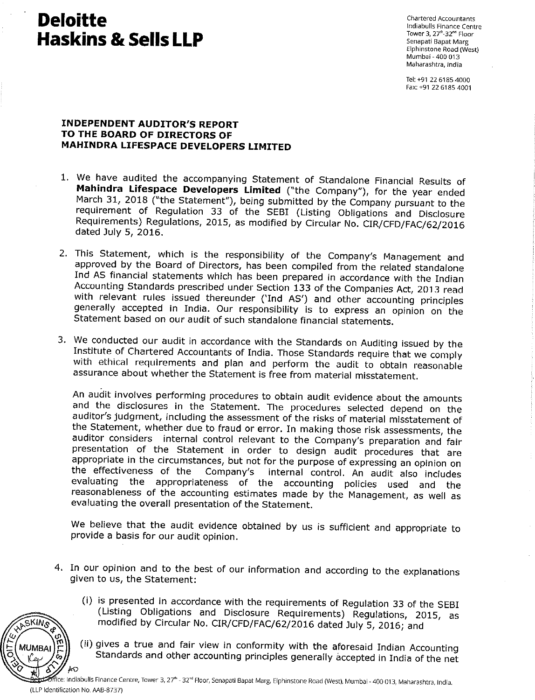# **Deloitte** Chartered Accountants  $\textbf{H}$ askins & Sells LLP $^{\text{Tover 3, 27" - 32" - 4\text{Isocor}}$

~

indiabulls Finance Centre Elphinstone Road (West) Mumbai » 400 013 Maharashtra, lndia

Tel: +91 22 6185 4000 Fax: +91 22 6185 4001

### INDEPENDENT AUDITOR'S REPORT TO THE BOARD OF DIRECTORS OF MAHINDRA LIFESPACE DEVELOPERS LIMITED

- 1. We have audited the accompanying Statement of Standalone Financial Results of Mahindra Lifespace Developers Limited ("the Company"), for the year ended March 31, <sup>2018</sup> ("the Statement"), being submitted by the Company pursuant to the requirement of Regulation <sup>33</sup> of the SEBI (Listing Obligations and Disclosure Requirements) Regulations, 2015, as modified by Circular No. CIR/CFD/FAC/62/2016 dated July 5, 2016.
- 2. This Statement, which is the responsibility of the Company's Management and approved by the Board of Directors, has been compiled from the related standalone Ind AS financial statements which has been prepared in accordance with the Indian Accounting Standards prescribed under Section <sup>133</sup> of the Companies Act, <sup>2013</sup> read with relevant rules issued thereunder ('Ind AS') and other accounting principles generally accepted in India. Our responsibility is to express an opinion on the Statement based on our audit of such standalone financial statements.
- 3. We conducted our audit in accordance with the Standards on Auditing issued by the Institute of Chartered Accountants of India. Those Standards require that we comply with ethical requirements and plan and perform the audit to obtain reasonable assurance about whether the Statement is free from material misstatement.

An audit involves performing procedures to obtain audit evidence about the amounts and the disclosures in the Statement. The procedures selected depend on the auditor's judgment, including the assessment of the risks of material misstatement of the Statement, whether due to fraud or error. In making those risk assessments, the auditor considers internal control relevant to the Company's preparation and fair presentation of the Statement in order to design audit procedures that are appropriate in the circumstances, but not for the purpose of expressing an opinion on<br>the effectiveness of the Company's internal control. An audit also includes internal control. An audit also includes evaluating the appropriateness of the accounting policies used and the reasonableness of the accounting estimates made by the Management, as well as evaluating the overall presentation of the Statement.

We believe that the audit evidence obtained by us is sufficient and appropriate to provide <sup>a</sup> basis for our audit opinion.

- 4. In our opinion and to the best of our information and according to the explanations given to us, the Statement:
	- (i) is presented in accordance with the requirements of Regulation <sup>33</sup> of the SEBI (Listing Obligations and Disclosure Requirements) Regulations, 2015, as modified by Circular No. CIR/CFD/FAC/62/2016 dated July 5, 2016; and
	- (ii) gives <sup>a</sup> true and fair view in conformity with the aforesaid Indian Accounting Standards and other accounting principles generally accepted in India of the net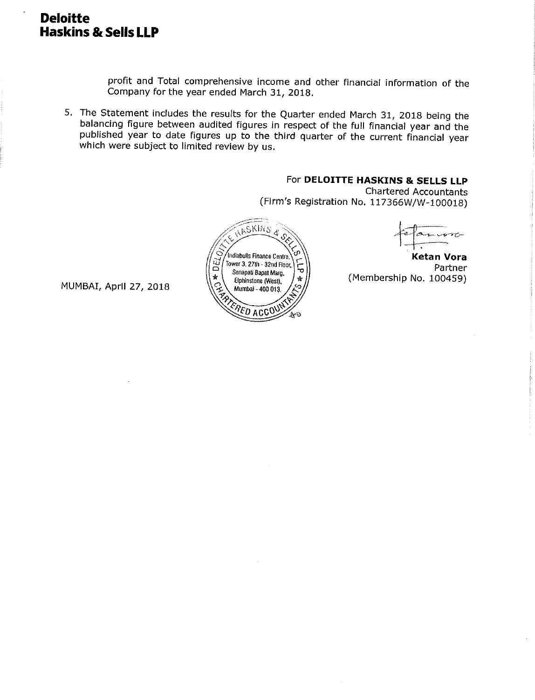### Deloitte Haskins & Sells LLP

profit and Total comprehensive income and other financial information of the Company for the year ended March 31, 2018.

5. The Statement includes the results for the Quarter ended March 31, <sup>2018</sup> being the balancing figure between audited figures in respect of the full financial year and the published year to date figures up to the third quarter of the current financial year which were subject to limited review by us.

### For DELOITTE HASKINS & SELLS LLP

Chartered Accountants (Firm's Registration No. 117366W/W-100018)



É.  $\frac{1}{\sqrt{1+\frac{1}{2}}}$ 

**Ketan Vora**<br>Partner  $\sum_{\text{Senap}(\text{Bapat } \text{Bapat } \text{Map}} \left\{ \sum_{i=1}^{n} \right\}$  Partner Eiphinstone (West),  $\begin{pmatrix} \ast \\ \ast \end{pmatrix}$  (Membership No. 100459)

MUMBAI, Aprll 27, 2018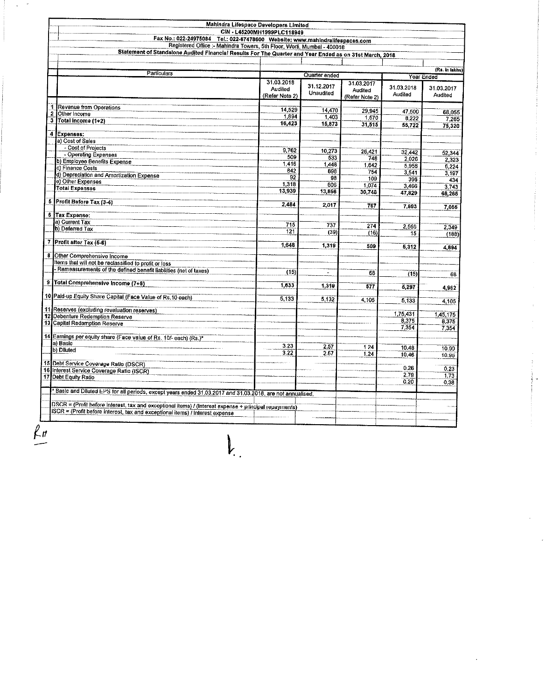|        |                                                                                                                                                         | CIN - L45200MH1999PLC118949             |                                          |                                         |                       |                       |
|--------|---------------------------------------------------------------------------------------------------------------------------------------------------------|-----------------------------------------|------------------------------------------|-----------------------------------------|-----------------------|-----------------------|
|        | Fax No.: 022-24975084 Tel.: 022-67478600 Website: www.mahindralifespaces.com<br>Registered Office :- Mahindra Towers, 5th Floor, Worli, Mumbai - 400018 |                                         |                                          |                                         |                       |                       |
|        | Statement of Standalone Audited Financial Results For The Quarter and Year Ended as on 31st March, 2018                                                 |                                         |                                          |                                         |                       |                       |
|        |                                                                                                                                                         |                                         |                                          |                                         |                       |                       |
|        |                                                                                                                                                         |                                         |                                          |                                         |                       | (Rs. in lakhs)        |
|        | <b>Particulars</b>                                                                                                                                      | Year Ended                              |                                          |                                         |                       |                       |
|        |                                                                                                                                                         | 31.03.2018<br>Audited<br>(Refer Note 2) | Quarter ended<br>31.12.2017<br>Unaudited | 31.03.2017<br>Audited<br>(Refer Note 2) | 31.03.2018<br>Audited | 31.03.2017<br>Audited |
|        |                                                                                                                                                         |                                         |                                          |                                         |                       |                       |
| 1      | Revenue from Operations                                                                                                                                 | 14,529                                  | 14,470                                   | 29,945                                  | 47,500                | 68,055                |
| 2<br>3 | Other Income                                                                                                                                            | 1,894                                   | 1,403                                    | 1,570                                   | 8.222                 | 7,265                 |
|        | Total Income (1+2)                                                                                                                                      | 16,423                                  | 15,873                                   | 31,515                                  | 55.722                | 75,320                |
| 4      | Expenses:                                                                                                                                               |                                         |                                          |                                         |                       |                       |
|        | a) Cost of Sales                                                                                                                                        |                                         |                                          |                                         |                       |                       |
|        | - Cost of Projects                                                                                                                                      | 9,762                                   | 10.273                                   |                                         |                       |                       |
|        | - Operating Expenses                                                                                                                                    | 509                                     | 533                                      | 26 421<br>748                           | 32.442                | 52.344                |
|        | b) Employee Benefits Expense                                                                                                                            | 1,416                                   | 1.448                                    | 1.642                                   | 2.026<br>5,958        | 2.323                 |
|        | c) Finance Costs                                                                                                                                        | 842                                     | 893                                      | 754                                     | 3,541                 | 6,224                 |
|        | d) Depreciation and Amortization Expense                                                                                                                | 92                                      | 98                                       | 109                                     | 396                   | 3.197                 |
|        | e) Other Expenses                                                                                                                                       | 1.318                                   | 606                                      | 1.074                                   | 3.466                 | 3743                  |
|        | <b>Total Expenses</b>                                                                                                                                   | 13.939                                  | 13,856                                   | 30.748                                  | 47.829                | 68,265                |
|        | 6 Profit Before Tax (3-4)                                                                                                                               |                                         |                                          |                                         |                       |                       |
|        |                                                                                                                                                         | 2.484                                   | 2.017                                    | 767                                     | 7,893                 | 7.055                 |
|        | 6 Tax Expense:                                                                                                                                          |                                         |                                          |                                         |                       |                       |
|        | a) Current Tax                                                                                                                                          | 715                                     | 737                                      | 274                                     |                       |                       |
|        | b) Deferred Tax                                                                                                                                         | 121                                     | (39)                                     |                                         | 2 5 6 6               | 2.349                 |
|        |                                                                                                                                                         |                                         |                                          | (16)                                    | 15                    | (188)                 |
| 7      | Profit after Tax (5-6)                                                                                                                                  | 1 6 4 8                                 | 1,319                                    | 509                                     | 5,312                 | 4,894                 |
| 8      | Other Comprehensive Income                                                                                                                              |                                         |                                          |                                         |                       |                       |
|        | Items that will not be reclassified to profit or loss                                                                                                   |                                         |                                          |                                         |                       |                       |
|        | Remeasurements of the defined benefit liabilities (net of taxes)                                                                                        |                                         |                                          |                                         |                       |                       |
|        |                                                                                                                                                         | (15)                                    |                                          | 68                                      | (15)                  |                       |
| 9      | Total Comprehensive Income (7+8)                                                                                                                        | 1.633                                   | 1,310                                    | 577                                     |                       |                       |
|        |                                                                                                                                                         |                                         |                                          |                                         | 5,297                 | 4,962                 |
|        | 10 Paid-up Equity Share Capital (Face Value of Rs.10 each)                                                                                              | 5,133                                   | 5.132                                    | 4,105                                   | 5,133                 | 4,105                 |
|        |                                                                                                                                                         |                                         |                                          |                                         |                       |                       |
| 12     | 11 Reserves (excluding revaluation reserves)<br>Debenture Redemption Reserve                                                                            |                                         |                                          |                                         | 1,75,431              | 1,45,175              |
|        | 13 Capital Redemption Reserve                                                                                                                           |                                         |                                          |                                         | 8,375                 | 8,375                 |
|        |                                                                                                                                                         |                                         |                                          |                                         | 7,354                 | 7,354                 |
|        | 14 Earnings per equity share (Face value of Rs. 10/- each) (Rs.)*                                                                                       |                                         |                                          |                                         |                       |                       |
|        | a) Basic                                                                                                                                                | 3.23                                    | 2.57                                     | 124                                     |                       |                       |
|        | b) Diluted                                                                                                                                              | 3.22                                    | 2.67                                     | 1.24                                    | 10.48<br>10.46        | 10.09                 |
|        |                                                                                                                                                         |                                         |                                          |                                         |                       | 10.96                 |
|        | 15 Debt Service Coverage Ratio (DSCR)                                                                                                                   |                                         |                                          |                                         | 0.26                  | 0.23                  |
| 17     | 16 Interest Service Coverage Ratio (ISCR)                                                                                                               |                                         |                                          |                                         | 2.79                  | 1.73                  |
|        | Debt Equity Ratio                                                                                                                                       |                                         |                                          |                                         | 0.20                  | 0.38                  |
|        |                                                                                                                                                         |                                         |                                          |                                         |                       |                       |
|        | Basic and Diluted EPS for all periods, except years ended 31.03.2017 and 31.03.2018, are not annualised.                                                |                                         |                                          |                                         |                       |                       |
|        | DSCR = (Profit before interest, tax and excoptional items) / (interest expense + principal repayments)                                                  |                                         |                                          |                                         |                       |                       |
|        | ISCR = (Profit before interest, tax and exceptional items) / Interest expense                                                                           |                                         |                                          |                                         |                       |                       |
|        |                                                                                                                                                         |                                         |                                          |                                         |                       |                       |
|        |                                                                                                                                                         |                                         |                                          |                                         |                       |                       |

 $\mathbf{l}_{\cdot}$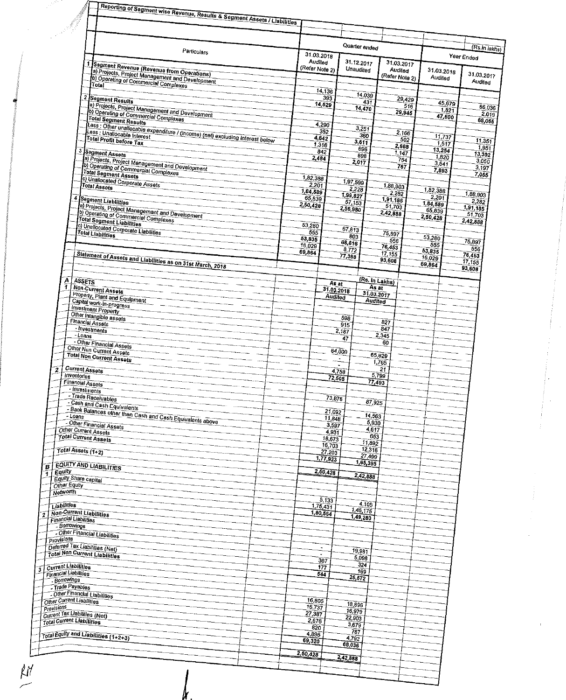| ganti I<br>Reporting of Segment wise Revenue, Results & Segment Assets / Liabilities                                                   |                                         |                                   |                                |                            |                             |
|----------------------------------------------------------------------------------------------------------------------------------------|-----------------------------------------|-----------------------------------|--------------------------------|----------------------------|-----------------------------|
|                                                                                                                                        |                                         |                                   |                                |                            |                             |
| Particulars                                                                                                                            |                                         | Quarter ended                     |                                |                            | (Rs.In lakhs)               |
|                                                                                                                                        | 31 03 2018<br>Audited<br>(Refer Note 2) | 31 12 2017                        | 31.03.2017                     |                            | Year Ended                  |
| 1 Segment Revenue (Revenue from Operations)<br>a) Projects, Project Management and Development<br>b) Operating of Commercial Complexes |                                         | Unaudited                         | Audited<br>(Refer Note 2)      | 31 03 2018<br>Audited      | 31.03.2017<br>Audited       |
| $\mathbf{2}$<br>Segment Results                                                                                                        | 14,136<br>39 <sub>3</sub>               | 14,039                            | 29,429                         |                            |                             |
| (a) Projects, Project Management and Development<br>b) Operating of Commercial Complexes                                               | 14,529                                  | 431<br>14,470                     | 516<br>29,945                  | 45,679<br>1.821<br>47,500  | 66,036<br>2,019             |
| Total Segment Results<br>Less : Other unallocable expenditure / (income) (net) excluding interest below                                | 4.290<br>352                            | 3,257                             | 2,166                          |                            | 68,055                      |
| <b>Total Profit before Tax</b>                                                                                                         | 4,642<br>1,316                          | 360<br>3,611<br>696               | 502<br>2,668                   | 11,737<br>1.517            | 11,351<br>1,951             |
| 3<br>Segment Assets<br>a) Projects, Project Management and Development                                                                 | 842<br>2,484                            | 898<br>2,017                      | 1,147<br>754<br>767            | 13,254<br>1,820<br>3,541   | 13,302<br>3,050             |
| b) Operating of Commercial Complexes<br><b>Total Segment Assets</b><br>c) Unallocated Corporate Assets                                 | 1,82,388                                | 1,97,599                          |                                | 7,893                      | 3,197<br>7,055              |
| <b>Total Assets</b><br>4                                                                                                               | 2,201<br>1,84,589<br>65,839             | 2,228<br>1.99.827                 | 1,88,903<br>$2\,282$           | 1.82.388<br>2,201          | 1,88,903                    |
| Segment Liabilities<br>a) Projects, Project Management and Development<br>b) Operating of Commercial Complexes                         | 2,50,428                                | 57,153<br>2,56,980                | 1.91.185<br>51,703<br>2,42,888 | 1,84,589<br>65,839         | 2,282<br>1,91,185<br>51,703 |
| Total Segment Liabilities<br>c) Unallocated Corporate Liabilities                                                                      | 53,280<br>555                           | 67,813                            |                                | 2,50,428                   | 2,42,888                    |
| <b>Total Liabilities</b>                                                                                                               | 53,835<br>16,029                        | 803<br>68,616                     | 75,897<br>556<br>76,453        | 53,280<br>555              | 75,897<br>556               |
| Statement of Assets and Liabilities as on 31st March, 2018                                                                             | 69,864                                  | 8,772<br>77,388                   | 17,155<br>93,608               | 53,835<br>16.029<br>69,864 | 76,453<br>17,155            |
| Ą<br>ASSETS                                                                                                                            |                                         |                                   | (Rs. In Lakhs)                 |                            | 93,608                      |
| Ŧ<br><b>Non-Current Assets</b><br>Property, Plant and Equipment                                                                        |                                         | As at<br>31.03.2018<br>Audited    | As at<br>31.03.2017            |                            |                             |
| Capital work-in-progress<br><b>Investment Property</b><br>Other Intangible assets                                                      |                                         | Audited                           |                                |                            |                             |
| <b>Financial Assets</b><br>- Investments                                                                                               |                                         | 598<br>915<br>2,187               | 827<br>847                     |                            |                             |
| $-Loans$<br>- Other Financial Assets<br>Other Nun Current Assets                                                                       |                                         | 47                                | 2,345<br>60                    |                            |                             |
| <b>Total Non Current Assets</b>                                                                                                        |                                         | 64.00n                            | 65829<br>1.765                 |                            |                             |
| <b>Current Assets</b><br>2<br><b>Inventories</b><br><b>Financial Assets</b>                                                            |                                         | 4758<br>72,505                    | 21<br>5,799<br>77,493          |                            |                             |
| - Investments<br>- Trade Receivables                                                                                                   |                                         | 73,876<br>87,925                  |                                |                            |                             |
| - Cash and Cash Equivalents<br>- Bank Balances other than Cash and Cash Equivalents above                                              |                                         | 21,092<br>14,563<br>11,848        |                                |                            |                             |
| - Other Financial Assets<br>Other Current Assets                                                                                       |                                         | 5,930<br>3,597<br>4617<br>4,931   |                                |                            |                             |
| <b>Total Current Assets</b><br>Total Assets (1+2)                                                                                      | 16.703<br>27,203                        | 653<br>18,673<br>11,892<br>12.316 |                                |                            |                             |
| <b>EQUITY AND LIABILITIES</b><br>B                                                                                                     | 1,77,923                                | 27,499<br>1,65,395                |                                |                            |                             |
| <b>Equity</b><br><b>Equity Share capital</b><br>Other Equity                                                                           | 2,50,428                                | 2,42,888                          |                                |                            |                             |
| Networth                                                                                                                               | 5,133                                   | 4,105                             |                                |                            |                             |
| Liabilities<br>Non-Current Liabilities<br>2<br>Financial Liabilities                                                                   | 1,75,431<br>1,80,564                    | 1,45,175<br>1,49,280              |                                |                            |                             |
| Borrowings<br>- Other Financial Liabilities                                                                                            |                                         |                                   |                                |                            |                             |
| <b>Provisions</b><br>Deferred Tax Liabilities (Net)<br><b>Total Non Current Liabilities</b>                                            |                                         | 19,981                            |                                |                            |                             |
| <b>Current Liabilities</b><br>$\overline{\boldsymbol{\mathfrak{s}}}$                                                                   | 367<br>177                              | 5,098<br>324<br>169               |                                |                            |                             |
| Financial Liabilities<br>- Borrowings<br>Trade Payables                                                                                | 544                                     | 25, 572                           |                                |                            |                             |
| Other Financial Liabilities<br>Other Current Liabilities                                                                               | 16,805                                  | 18,896                            |                                |                            |                             |
| <b>Provisions</b><br>Current Tax Liabilities (Net)<br>Total Current Liabilities                                                        | 16,737<br>27,387<br>2,676               | 16.979<br>22,903                  |                                |                            |                             |
| Total Equity and Liabilities (1+2+3)                                                                                                   | 820<br>4.895                            | 3.679<br>787<br>4,792             |                                |                            |                             |
|                                                                                                                                        | 69,320<br>2,50,428                      | 68,036                            |                                |                            |                             |
|                                                                                                                                        |                                         | 2,42,888                          |                                |                            |                             |

 $\mu$ 

 $\hat{\boldsymbol{\epsilon}}$ 

 $\pm$ 

 $\frac{\mu}{\mu}$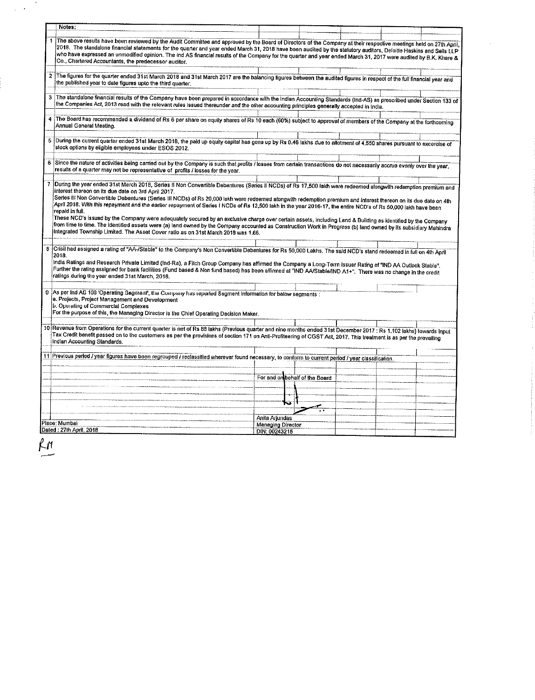|                | Notes:                                                                                                                                                                                                                                                                                                                                                                                                                                                                                                                                                       |                                    |  |  |  |
|----------------|--------------------------------------------------------------------------------------------------------------------------------------------------------------------------------------------------------------------------------------------------------------------------------------------------------------------------------------------------------------------------------------------------------------------------------------------------------------------------------------------------------------------------------------------------------------|------------------------------------|--|--|--|
| 1              | The above results have been reviewed by the Audit Committee and approved by the Board of Directors of the Company at their respective meetings held on 27th April,                                                                                                                                                                                                                                                                                                                                                                                           |                                    |  |  |  |
|                | 2018. The standalone financial statements for the quarter and year ended March 31, 2018 have been audited by the statutory auditors, Deloitte Haskins and Sells LLP<br>who have expressed an unmodified opinion. The Ind AS financial results of the Company for the quarter and year ended March 31, 2017 were audited by B.K. Khare &<br>Co., Chartered Accountants, the predecessor auditor.                                                                                                                                                              |                                    |  |  |  |
|                | 2 The figures for the quarter ended 31st March 2018 and 31st March 2017 are the balancing figures between the audited figures in respect of the full financial year and                                                                                                                                                                                                                                                                                                                                                                                      |                                    |  |  |  |
|                | the published year to date figures upto the third quarter.                                                                                                                                                                                                                                                                                                                                                                                                                                                                                                   |                                    |  |  |  |
| $\mathbf{3}$   | The standalone financial results of the Company have been prepared in accordance with the Indian Accounting Standards (Ind-AS) as prescribed under Section 133 of<br>the Companies Act, 2013 read with the relevant rules issued thereunder and the other accounting principles generally accepted in India.                                                                                                                                                                                                                                                 |                                    |  |  |  |
|                | The Board has recommended a dividend of Rs 6 per share on equity shares of Rs 10 each (60%) subject to approval of members of the Company at the forthcoming<br>Annual General Meeting.                                                                                                                                                                                                                                                                                                                                                                      |                                    |  |  |  |
|                | 5 During the current quarter ended 31st March 2018, the paid up equity capital has gone up by Rs 0.46 lakhs due to allotment of 4,550 shares pursuant to excercise of<br>stock options by eligible employees under ESOS 2012.                                                                                                                                                                                                                                                                                                                                |                                    |  |  |  |
|                | 6 Since the nature of activities being carried out by the Company is such that profits / losses from certain transactions do not necessarily accrue evenly over the year,<br>results of a quarter may not be representative of profits / losses for the year.                                                                                                                                                                                                                                                                                                |                                    |  |  |  |
| $\overline{7}$ | During the year ended 31st March 2018, Series II Non Convertible Debentures (Series II NCDs) of Rs 17,500 takh were redeemed alongwith redemption premium and                                                                                                                                                                                                                                                                                                                                                                                                |                                    |  |  |  |
|                | interest thereon on its due date on 3rd April 2017.                                                                                                                                                                                                                                                                                                                                                                                                                                                                                                          |                                    |  |  |  |
|                | Series III Non Convertible Debentures (Series III NCDs) of Rs 20,000 lakh were redeemed alongwith redemption premium and interest thereon on its due date on 4th<br>April 2018. With this repayment and the earlier repayment of Series I NCDs of Rs 12,500 lakh in the year 2016-17, the entire NCD's of Rs 50,000 lakh have been<br>repaid in full.                                                                                                                                                                                                        |                                    |  |  |  |
|                | These NCD's issued by the Company were adequately secured by an exclusive charge over certain assets, including Land & Building as identified by the Company                                                                                                                                                                                                                                                                                                                                                                                                 |                                    |  |  |  |
|                | from time to time. The identified assets were (a) land owned by the Company accounted as Construction Work in Progress (b) land owned by its subsidiary Mahindra<br>Integrated Township Limited. The Asset Cover ratio as on 31st March 2018 was 1.66.                                                                                                                                                                                                                                                                                                       |                                    |  |  |  |
|                |                                                                                                                                                                                                                                                                                                                                                                                                                                                                                                                                                              |                                    |  |  |  |
|                | 8 Crisil had assigned a rating of "AA-/Stable" to the Company's Non Convertible Debentures for Rs 50,000 Lakhs. The said NCD's stand redeemed in full on 4th April<br>2018.<br>India Ratings and Research Private Limited (Ind-Ra), a Fitch Group Company has affirmed the Company a Long-Term Issuer Rating of "IND AA Outlook Stable".<br>Further the rating assigned for bank facilities (Fund based & Non fund based) has been affirmed at "IND AA/Stable/IND A1+". There was no change in the credit<br>ratings during the year ended 31st March, 2018. |                                    |  |  |  |
|                |                                                                                                                                                                                                                                                                                                                                                                                                                                                                                                                                                              |                                    |  |  |  |
|                | 9 As per ind AG 100 'Operating Segment', the Company has reported Segment Information for below segments :<br>a. Projects, Project Management and Development<br>b. Operating of Commercial Complexes<br>For the purpose of this, the Managing Director is the Chief Operating Decision Maker.                                                                                                                                                                                                                                                               |                                    |  |  |  |
|                |                                                                                                                                                                                                                                                                                                                                                                                                                                                                                                                                                              |                                    |  |  |  |
|                | 10 Revenue from Operations for the current quarter is net of Rs 88 lakhs (Previous quarter and nine months ended 31st December 2017 : Rs 1,102 lakhs) towards input<br>Tax Credit benefit passed on to the customers as per the provisions of section 171 on Anti-Profiteering of CGST Act, 2017. This treatment is as per the prevailing<br>Indian Accounting Standards.                                                                                                                                                                                    |                                    |  |  |  |
|                | 11 Previous period / year figures have been regrouped / reclassified wherever found necessary, to conform to current period / year classification.                                                                                                                                                                                                                                                                                                                                                                                                           |                                    |  |  |  |
|                |                                                                                                                                                                                                                                                                                                                                                                                                                                                                                                                                                              |                                    |  |  |  |
|                |                                                                                                                                                                                                                                                                                                                                                                                                                                                                                                                                                              | For and on behalf of the Board     |  |  |  |
|                |                                                                                                                                                                                                                                                                                                                                                                                                                                                                                                                                                              |                                    |  |  |  |
|                |                                                                                                                                                                                                                                                                                                                                                                                                                                                                                                                                                              |                                    |  |  |  |
|                |                                                                                                                                                                                                                                                                                                                                                                                                                                                                                                                                                              |                                    |  |  |  |
|                | Place: Mumbai                                                                                                                                                                                                                                                                                                                                                                                                                                                                                                                                                | Anita Anundas<br>Managing Director |  |  |  |

 $\ddot{\phantom{0}}$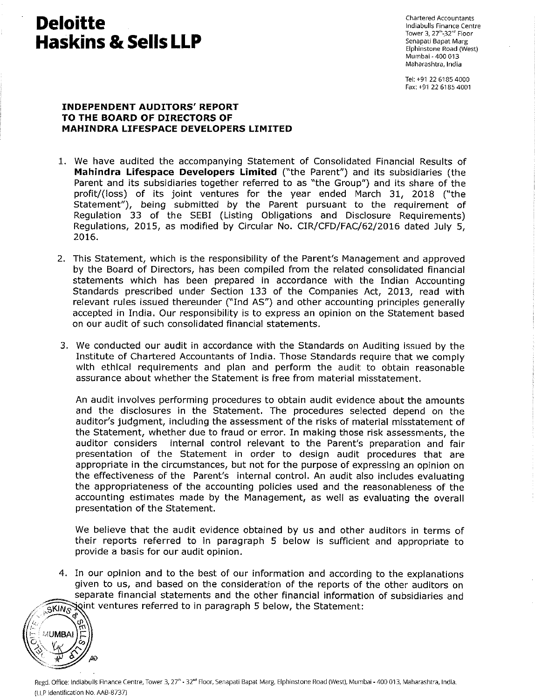# Deloitte de Chartered Accountants Chartered Accountants Chartered Accountants Chartered Accountants (Chartered Accountants) **Haskins & Sells LLP**<br> *Elphinstone Road (West*)

Tower 3, 27<sup>th</sup>-32<sup>nd</sup> Floor<br>Senapati Bapat Marg Mumbai - 400 013 Maharashtra, India

Tel: +91 22 6185 4000 Fax: +91 22 6185 4001

#### INDEPENDENT AUDITORS' REPORT TO THE BOARD OF DIRECTORS OF MAHINDRA LIFESPACE DEVELOPERS LIMITED

- 1. We have audited the accompanying Statement of Consolidated Financial Results of Mahindra Lifespace Developers Limited ("the Parent") and its subsidiaries (the Parent and its subsidiaries together referred to as "the Group") and its share of the profit/(loss) of its joint ventures for the year ended March 31, 2018 ("the Statement"), being submitted by the Parent pursuant to the requirement of Regulation 33 of the SEBI (Listing Obligations and Disclosure Requirements) Regulations, 2015, as modified by Circular No. CIR/CFD/FAC/62/2016 dated July 5, 2016.
- 2. This Statement, which is the responsibility of the Parent's Management and approved by the Board of Directors, has been compiled from the related consolidated financial statements which has been prepared in accordance with the Indian Accounting Standards prescribed under Section 133 of the Companies Act, 2013, read with relevant rules issued thereunder ("Ind AS") and other accounting principles generally accepted in India. Our responsibility is to express an opinion on the Statement based on our audit of such consolidated financial statements.
- 3. We conducted our audit in accordance with the Standards on Auditing issued by the Institute of Chartered Accountants of India. Those Standards require that we comply with ethical requirements and plan and perform the audit to obtain reasonable assurance about whether the Statement is free from material misstatement.

An audit involves performing procedures to obtain audit evidence about the amounts and the disclosures in the Statement. The procedures selected depend on the auditor's judgment, including the assessment of the risks of material misstatement of the Statement, whether due to fraud or error. In making those risk assessments, the auditor considers internal control relevant to the Parent's preparation and fair presentation of the Statement in order to design audit procedures that are appropriate in the circumstances, but not for the purpose of expressing an opinion on the effectiveness of the Parent's internal control. An audit also includes evaluating the appropriateness of the accounting policies used and the reasonableness of the accounting estimates made by the Management, as well as evaluating the overall presentation of the Statement.

We believe that the audit evidence obtained by us and other auditors in terms of their reports referred to in paragraph <sup>5</sup> below is sufficient and appropriate to provide <sup>a</sup> basis for our audit opinion.

4. In our opinion and to the best of our information and according to the explanations given to us, and based on the consideration of the reports of the other auditors on separate financial statements and the other financial information of subsidiaries and joint ventures referred to in paragraph 5 below, the Statement:

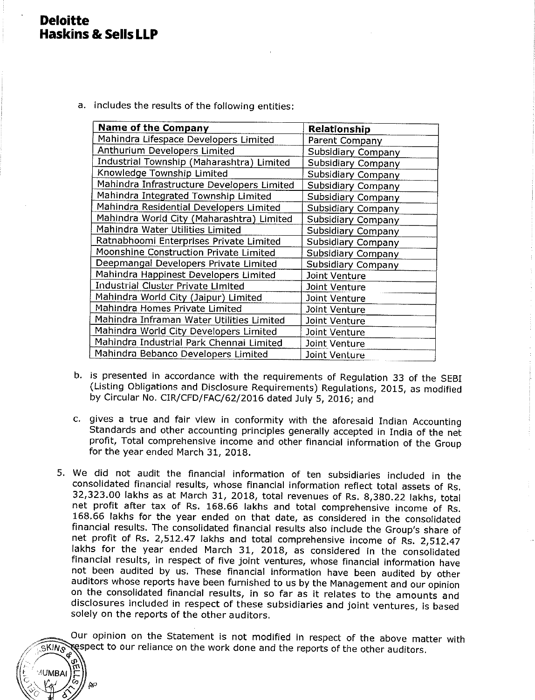## Deloitte Haskins & Sells LLP

a. includes the results of the following entities:

| <b>Name of the Company</b>                 | Relationship              |
|--------------------------------------------|---------------------------|
| Mahindra Lifespace Developers Limited      | Parent Company            |
| Anthurium Developers Limited               | Subsidiary Company        |
| Industrial Township (Maharashtra) Limited  | Subsidiary Company        |
| Knowledge Township Limited                 | Subsidiary Company        |
| Mahindra Infrastructure Developers Limited | Subsidiary Company        |
| Mahindra Integrated Township Limited       | Subsidiary Company        |
| Mahindra Residential Developers Limited    | Subsidiary Company        |
| Mahindra World City (Maharashtra) Limited  | Subsidiary Company        |
| Mahindra Water Utilities Limited           | <b>Subsidiary Company</b> |
| Ratnabhoomi Enterprises Private Limited    | Subsidiary Company        |
| Moonshine Construction Private Limited     | <b>Subsidiary Company</b> |
| Deepmangal Developers Private Limited      | Subsidiary Company        |
| Mahindra Happinest Developers Limited      | Joint Venture             |
| Industrial Cluster Private Limited         | Joint Venture             |
| Mahindra World City (Jaipur) Limited       | Joint Venture             |
| Mahindra Homes Private Limited             | Joint Venture             |
| Mahindra Inframan Water Utilities Limited  | Joint Venture             |
| Mahindra World City Developers Limited     | Joint Venture             |
| Mahindra Industrial Park Chennai Limited   | Joint Venture             |
| Mahindra Bebanco Developers Limited        | Joint Venture             |

- b. is presented in accordance with the requirements of Regulation <sup>33</sup> of the SEBI (Listing Obligations and Disclosure Requirements) Regulations, 2015, as modified by Circular No. CIR/CFD/FAC/62/2016 dated July 5, 2016; and
- c. gives <sup>a</sup> true and fair View in conformity with the aforesaid Indian Accounting Standards and other accounting principles generally accepted in India of the net profit, Total comprehensive income and other financial information of the Group for the year ended March 31, 2018.
- 5. We did not audit the financial information of ten subsidiaries included in the consolidated financial results, whose financial information reflect total assets of Rs. 32,323.00 lakhs as at March 31, 2018, total revenues of Rs. 8,380.22 lakhs, total net profit after tax of Rs. 168.66 lakhs and total comprehensive income of Rs. 168.66 lakhs for the year ended on that date, as considered in the consolidated financial results. The consolidated financial results also include the Group's share of net profit of Rs. 2,512.47 lakhs and total comprehensive income of Rs. 2,512.47 lakhs for the year ended March 31, 2018, as considered in the consolidated financial results, in respect of five joint ventures, whose financial information have not been audited by us. These financial information have been audited by other auditors whose reports have been furnished to us by the Management and our opinion on the consolidated financial results, in so far as it relates to the amounts and disclosures included in respect of these subsidiaries and joint ventures, is based solely on the reports of the other auditors.

Our opinion on the Statement is not modified in respect of the above matter with respect to our reliance on the work done and the reports of the other auditors.

**SKIN<sub>S</sub> UMBA**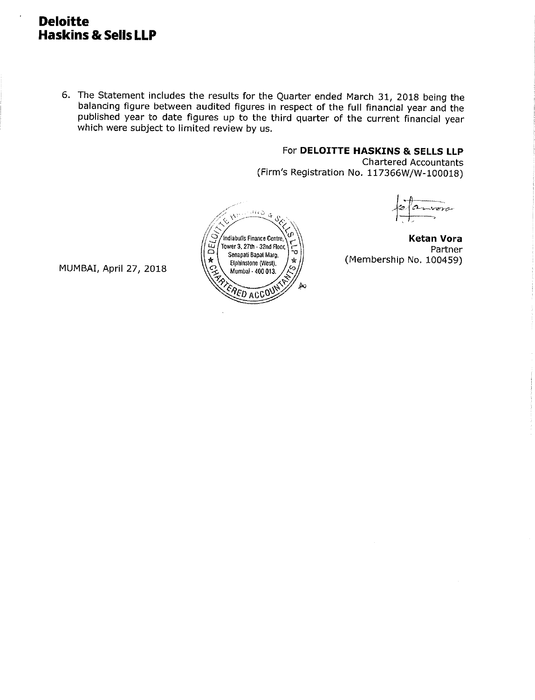## Deloitte Haskins & Sells LLP

6. The Statement includes the results for the Quarter ended March 31, <sup>2018</sup> being the balancing figure between audited figures in respect of the full financial year and the published year to date figures up to the third quarter of the current financial year which were subject to limited review by us.

### For DELOITTE HASKINS & SELLS LLP

Ketan Vora Partner

nora

(Membership No. 100459)

Chartered Accountants (Firm's Registration No. 117366W/W-100018)



MUMBAI, April 27, 2018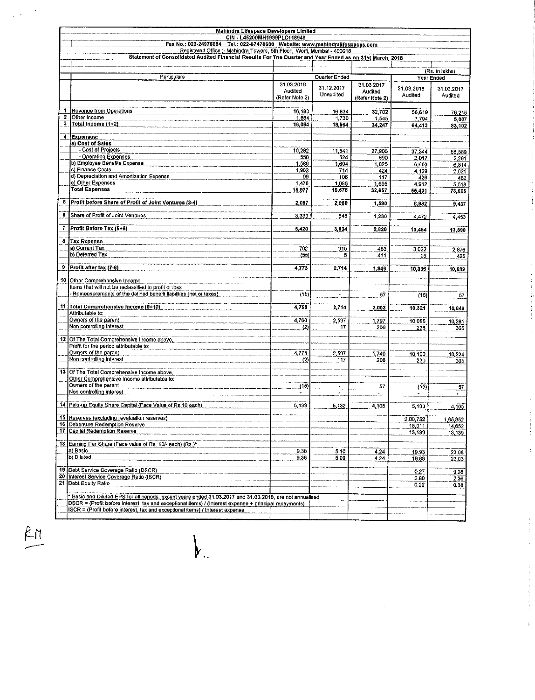|                  | Mahindra Lifespace Developers Limited                                                                                                                                                                               |                                         |                         |                                         |                       |                       |
|------------------|---------------------------------------------------------------------------------------------------------------------------------------------------------------------------------------------------------------------|-----------------------------------------|-------------------------|-----------------------------------------|-----------------------|-----------------------|
|                  | CIN - L45200MH1999PLC118949<br>Fax No.: 022-24975084 Tel.: 022-67478600 Website: www.mahindralifespaces.com                                                                                                         |                                         |                         |                                         |                       |                       |
|                  | Registered Office :- Mahindra Towers, 5th Floor, Worli, Mumbal - 400018                                                                                                                                             |                                         |                         |                                         |                       |                       |
|                  | Statement of Consolidated Audited Financial Results For The Quarter and Year Ended as on 31st March, 2018                                                                                                           |                                         |                         |                                         |                       |                       |
|                  |                                                                                                                                                                                                                     |                                         |                         |                                         |                       | (Rs. in lakhs)        |
|                  | Particulars                                                                                                                                                                                                         |                                         | Quarter Ended           |                                         |                       | Year Ended            |
|                  |                                                                                                                                                                                                                     | 31.03.2018<br>Audited<br>(Refer Note 2) | 31.12.2017<br>Unaudited | 31.03.2017<br>Audited<br>(Refer Note 2) | 31.03.2018<br>Audited | 31.03.2017<br>Audited |
| 1                |                                                                                                                                                                                                                     |                                         |                         |                                         |                       |                       |
| $\boldsymbol{z}$ | Revenue from Operations<br>Other Income                                                                                                                                                                             | 16 180<br>1,884                         | 16,834<br>1,730         | 32,702<br>1,545                         | 56,619<br>7,794       | 76,215<br>6,887       |
| 3                | Total Income (1+2)                                                                                                                                                                                                  | 18,064                                  | 18,564                  | 34,247                                  | 64,413                | 83,102                |
| 4                | Expenses:                                                                                                                                                                                                           |                                         |                         |                                         |                       |                       |
|                  | a) Cost of Sales                                                                                                                                                                                                    |                                         |                         |                                         |                       |                       |
|                  | - Cost of Projects                                                                                                                                                                                                  | 10.282                                  | 11,541                  | 27,906                                  | 37,344                | 56,589                |
|                  | - Operating Expenses<br>b) Employee Benefits Expense                                                                                                                                                                | 550<br>1,586                            | 524                     | 690                                     | 2,017                 | 2,261                 |
|                  | c) Finance Costs                                                                                                                                                                                                    | 1982                                    | 1,604<br>714            | 1,825<br>424                            | 6,603<br>4,129        | 0,814<br>2,021        |
|                  | d) Depreciation and Amortization Expense                                                                                                                                                                            | 99                                      | 106                     | 117                                     | 426                   | 462                   |
|                  | e) Other Expenses<br><b>Total Expenses</b>                                                                                                                                                                          | 1.478                                   | 1,086                   | 1,695                                   | 4,912                 | 5,518                 |
|                  |                                                                                                                                                                                                                     | 15,977                                  | 15,676                  | 32,667                                  | 66,431                | 73,666                |
| 5.               | Profit before Share of Profit of Joint Ventures (3-4)                                                                                                                                                               | 2,087                                   | 2,989                   | 1,590                                   | 8,982                 | 9,437                 |
| 6                | Share of Profit of Joint Ventures                                                                                                                                                                                   | 3,333                                   | 645                     | 1,230                                   | 4,472                 | 4,453                 |
|                  | 7 Profit Before Tax (6+6)                                                                                                                                                                                           | 5,420                                   | 3,634                   | 2,820                                   | 13,454                | 13,890                |
|                  | 8 Tax Expense<br>a) Current Tax                                                                                                                                                                                     | 702                                     | 915                     | 463                                     |                       |                       |
|                  | b) Deferred Tax                                                                                                                                                                                                     | (55)                                    | 5                       | 411                                     | 3,022<br>96           | 2,876<br>425          |
|                  |                                                                                                                                                                                                                     |                                         |                         |                                         |                       |                       |
|                  | 9 Profit after tax (7-8)                                                                                                                                                                                            | 4,773                                   | 2,714                   | 1,946                                   | 10,336                | 10,589                |
|                  | 10 Other Comprehensive Income                                                                                                                                                                                       |                                         |                         |                                         |                       |                       |
|                  | llems that will not be reclassified to profit or loss                                                                                                                                                               |                                         |                         |                                         |                       |                       |
|                  | Remeasurements of the defined benefit liabilities (net of taxes)                                                                                                                                                    | (15)                                    |                         | 57                                      | (15)                  | 57                    |
|                  | 11 Total Comprehensive Income (9+10)                                                                                                                                                                                | 4,758                                   | 2,714                   | 2,003                                   | 10,321                | 10,646                |
|                  | Attributable to:<br>Owners of the parent                                                                                                                                                                            | 4,760                                   | 2,597                   | 1,797                                   | 10,085                |                       |
|                  | Non controlling interest                                                                                                                                                                                            | (2)                                     | 117                     | 206                                     | 236                   | 10.281<br>365         |
|                  | 12 Of The Total Comprehensive Income above,                                                                                                                                                                         |                                         |                         |                                         |                       |                       |
|                  | Profit for the period attributable to:                                                                                                                                                                              |                                         |                         |                                         |                       |                       |
|                  | Owners of the parent                                                                                                                                                                                                | 4,776                                   | 2,607                   | 1,740                                   | 10,100                | 10,224                |
|                  | Non controlling interest                                                                                                                                                                                            | (2)                                     | 117                     | 206                                     | 236                   | 305                   |
|                  | 13 Of The Total Comprehensive Income above,<br>Other Comprehensive Income attributable to:                                                                                                                          |                                         |                         |                                         |                       |                       |
|                  | Owners of the parent                                                                                                                                                                                                | (15)                                    | $\blacksquare$          | 57                                      | (15)                  | 57                    |
|                  | Non controlling interest                                                                                                                                                                                            |                                         | ٠                       |                                         |                       | $\bullet$             |
|                  | 14 Paid-up Equity Share Capital (Face Value of Rs.10 each)                                                                                                                                                          | 5,133                                   | 5,132                   | 4,105                                   | 5,133                 | 4,105                 |
|                  | 16 Reserves (excluding revaluation reserves)                                                                                                                                                                        |                                         |                         |                                         | 2,00,752              | 1,65,852              |
|                  | 16 Debenture Redemption Reserve<br>17 Capital Redemption Reserve                                                                                                                                                    |                                         |                         |                                         | 15.011                | 14.652                |
|                  |                                                                                                                                                                                                                     |                                         |                         |                                         | 13,139                | 13, 139               |
|                  | 18 Earning Per Share (Face value of Rs. 10/- each) (Rs.)*                                                                                                                                                           |                                         |                         |                                         |                       |                       |
|                  | a) Basic<br>b) Diluted                                                                                                                                                                                              | 9.38<br>9.36                            | 5.10<br>5.09            | 4.24<br>4.24                            | 19.93<br>19.88        | 23.08                 |
|                  |                                                                                                                                                                                                                     |                                         |                         |                                         |                       | 23.03                 |
|                  | 19 Debt Service Coverage Ratio (DSCR)<br>20 Interest Service Coverage Ratio (ISCR)                                                                                                                                  |                                         |                         |                                         | 0.27                  | 0.26                  |
|                  | 21 Debt Equity Ratio                                                                                                                                                                                                |                                         |                         |                                         | 2.80<br>0.22          | 2.36<br>0.38          |
|                  |                                                                                                                                                                                                                     |                                         |                         |                                         |                       |                       |
|                  | * Basic and Diluted EPS for all periods, except years ended 31.03.2017 and 31.03.2018, are not annualised<br>DSCR = (Profit before interest, tax and exceptional items) / (Interest expense + principal repayments) |                                         |                         |                                         |                       |                       |
|                  | ISCR = (Profit before interest, tax and exceptional items) / Interest expense                                                                                                                                       |                                         |                         |                                         |                       |                       |
|                  |                                                                                                                                                                                                                     |                                         |                         |                                         |                       |                       |

 $\bigg\}$  .

 $rac{R_{M}}{R_{M}}$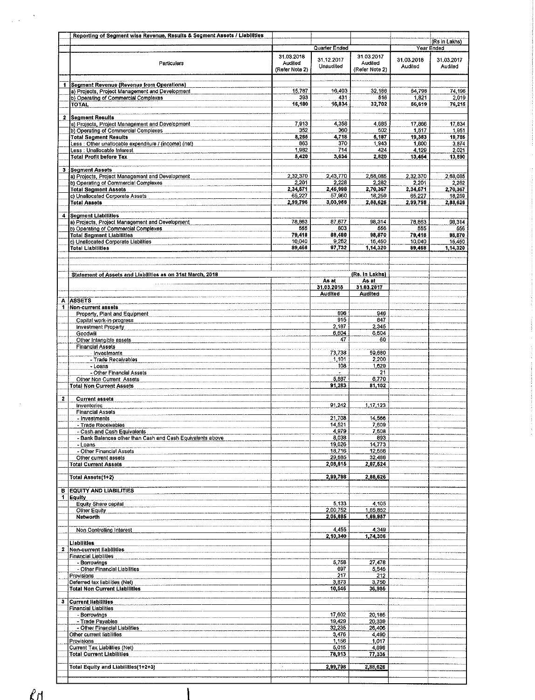|                         | Reporting of Segment wise Revenue, Results & Segment Assets / Liabilities                 |                   |                    |                     |                   |                    |
|-------------------------|-------------------------------------------------------------------------------------------|-------------------|--------------------|---------------------|-------------------|--------------------|
|                         |                                                                                           |                   |                    |                     |                   | (Rs in Lakhs)      |
|                         |                                                                                           | 31.03.2018        | Quarter Ended      | 31.03.2017          |                   | Year Ended         |
|                         | Particulars                                                                               | Audited           | 31.12.2017         | Audited             | 31.03.2018        | 31.03.2017         |
|                         |                                                                                           | (Refer Note 2)    | Unaudited          | (Refer Note 2)      | Audited           | Audited            |
|                         |                                                                                           |                   |                    |                     |                   |                    |
|                         | 1 Segment Revenue (Revenue from Operations)                                               |                   | 16,403             |                     |                   |                    |
|                         | a) Projects, Project Management and Development<br>b) Operating of Commercial Complexes   | 15,787<br>393     | 431                | 32,186<br>516       | 54,798<br>1,821   | 74,196<br>2,019    |
|                         | <b>TOTAL</b>                                                                              | 16,180            | 16,834             | 32,702              | 56,619            | 76,215             |
|                         |                                                                                           |                   |                    |                     |                   |                    |
| $\mathbf{z}$            | <b>Segment Results</b>                                                                    | 7.913             | 4,358              | 4.685               | 17,866            | 17,834             |
|                         | a) Projects, Project Management and Development<br>b) Operating of Commercial Complexes   | 352               | 360                | 502                 | 1,517             | 1,951              |
|                         | <b>Total Segment Results</b>                                                              | 8,265             | 4,718              | 5,187               | 19,383            | 19,786             |
|                         | Less : Other unallocable expenditure / (income) (net)                                     | 863               | 370                | 1,943               | 1,800             | 3,874              |
|                         | Less : Unallocable Interest<br><b>Total Profit before Tax</b>                             | 1,982<br>5,420    | 714<br>3,634       | 424<br>2,820        | 4,129<br>13,454   | 2,021              |
|                         |                                                                                           |                   |                    |                     |                   | 13,890             |
|                         | 3 Segment Assets                                                                          |                   |                    |                     |                   |                    |
|                         | a) Projects, Project Management and Development                                           | 2,32,370          | 2,43,770           | 2,68,085            | 2,32,370          | 2,68,085           |
|                         | b) Operating of Commercial Complexes<br><b>Total Segment Assets</b>                       | 2,201<br>2,34,571 | 2,228<br>2,45,998  | 2,282<br>2,70,367   | 2,201<br>2,34,671 | 2,282<br>2,70,367  |
|                         | c) Unallocated Corporate Assets                                                           | 65,227            | 57,960             | 18,259              | 65,227            | 18,259             |
|                         | <b>Total Assets</b>                                                                       | 2.99,798          | 3,03,958           | 2,88,626            | 2,99,798          | 2,88,626           |
|                         |                                                                                           |                   |                    |                     |                   |                    |
|                         | 4 Segment Liabilities<br>a) Projects, Project Management and Development                  | 78,863            | 87,677             | 98,314              | 78,863            | 98,314             |
|                         | b) Operating of Commercial Complexes                                                      | 555               | 803                | 556                 | 555               | 556                |
|                         | <b>Total Segment Liabilities</b>                                                          | 79,418            | 88,480             | 98,870              | 79,418            | 98,870             |
|                         | c) Unallocated Corporate Liabilities<br><b>Total Liabilities</b>                          | 10,040<br>89,468  | 9,252<br>97,732    | 15,450<br>1,14,320  | 10,040<br>89,458  | 15.450<br>1,14,320 |
|                         |                                                                                           |                   |                    |                     |                   |                    |
|                         |                                                                                           |                   |                    |                     |                   |                    |
|                         |                                                                                           |                   |                    | (Rs. In Lakhs)      |                   |                    |
|                         | Statement of Assets and Liabilities as on 31st March, 2018                                |                   | As at              | As at               |                   |                    |
|                         |                                                                                           |                   | 31.03.2018         | 31.03.2017          |                   |                    |
|                         |                                                                                           |                   | Audited            | Audited             |                   |                    |
| Ä<br>1.                 | <b>ASSETS</b><br>Non-current assets                                                       |                   |                    |                     |                   |                    |
|                         | Property, Plant and Equipment                                                             |                   | 696                | 946                 |                   |                    |
|                         | Capital work-in-progress                                                                  |                   | 915                | 847                 |                   |                    |
|                         | <b>Investment Property</b>                                                                |                   | 2,187              | 2,345               |                   |                    |
|                         | Goodwill                                                                                  |                   | 6,604<br>47        | 6,604<br>60         |                   |                    |
|                         | Other Intengible assets<br><b>Financial Assets</b>                                        |                   |                    |                     |                   |                    |
|                         | Invostments                                                                               |                   | 73,738             | 59,680              |                   |                    |
|                         | - Trade Receivables                                                                       |                   | 1,101              | 2,200               |                   |                    |
|                         | - Loans<br>- Other Financial Assets                                                       |                   | 108                | 1,629<br>21         |                   |                    |
|                         | Other Non Current Assets                                                                  |                   | 5,887              | 6,770               |                   |                    |
|                         | <b>Total Non Current Assets</b>                                                           |                   | 91,283             | 81,102              |                   |                    |
| $\overline{\mathbf{2}}$ |                                                                                           |                   |                    |                     |                   |                    |
|                         | <b>Current assets</b><br><b>Inventories</b>                                               |                   | 91,242             | 1,17,123            |                   |                    |
|                         | <b>Financial Assets</b>                                                                   |                   |                    |                     |                   |                    |
|                         | - Investments                                                                             |                   | 21,708             | 14,566              |                   |                    |
|                         | - Trade Receivables                                                                       |                   | 14,521             | 7,609               |                   |                    |
|                         | - Cash and Cash Equivalents<br>- Bank Balances other than Cash and Cash Equivalents above |                   | 4,979<br>8,038     | <u>, 508</u><br>893 |                   |                    |
|                         | - Loans                                                                                   |                   | 19,626             | 14,773              |                   |                    |
|                         | - Other Financial Assets                                                                  |                   | 18,716             | 12,566              |                   |                    |
|                         | Other current assets<br><b>Total Current Assets</b>                                       |                   | 29,685<br>2,08,515 | 32,486<br>2,07,524  |                   |                    |
|                         |                                                                                           |                   |                    |                     |                   |                    |
|                         | Total Assets(1+2)                                                                         |                   | 2,99,798           | 2,88,626            |                   |                    |
|                         |                                                                                           |                   |                    |                     |                   |                    |
| в<br>1                  | <b>EQUITY AND LIABILITIES</b><br>Equity                                                   |                   |                    |                     |                   |                    |
|                         | Equity Share capital                                                                      |                   | 5,133              | 4,105               |                   |                    |
|                         | Other Equity                                                                              |                   | 2,00,752           | 1,65,852            |                   |                    |
|                         | Networth                                                                                  |                   | 2,05,885           | 1,69,957            |                   |                    |
|                         | Non Controlling Interest                                                                  |                   | 4,455              | 4,349               |                   |                    |
|                         |                                                                                           |                   | 2,10,340           | 1,74,306            |                   |                    |
|                         | Liabilities                                                                               |                   |                    |                     |                   |                    |
| 2                       | Non-current liabilities<br>Financial Liabilities                                          |                   |                    |                     |                   |                    |
|                         | - Borrowings                                                                              |                   | 5,758              | 27,478              |                   |                    |
|                         | - Other Financial Liabilities                                                             |                   | 697                | 5,545               |                   |                    |
|                         | Provisions                                                                                |                   | 217                | 212                 |                   |                    |
|                         | Deferred tax liabilities (Net)<br><b>Total Non Current Liabilities</b>                    |                   | 3,873<br>10,546    | 3,750<br>36,985     |                   |                    |
|                         |                                                                                           |                   |                    |                     |                   |                    |
| 3                       | <b>Current liabilities</b>                                                                |                   |                    |                     |                   |                    |
|                         | Financial Liabilities                                                                     |                   |                    |                     |                   |                    |
|                         | - Borrowings<br>- Trade Payables                                                          |                   | 17,602<br>19,429   | 20,185<br>20,339    |                   |                    |
|                         | - Other Financial Liabilities                                                             |                   | 32,235             | 26,406              |                   |                    |
|                         | Other current fiabilities                                                                 |                   | 3,476              | 4,490               |                   |                    |
|                         | Provisions                                                                                |                   | 1,156              | 1,017               |                   |                    |
|                         | Current Tax Liabilities (Net)<br><b>Total Current Liabilities</b>                         |                   | 5,015<br>78,913    | 4,898<br>77,336     |                   |                    |
|                         |                                                                                           |                   |                    |                     |                   |                    |
|                         | Total Equity and Liabilities(1+2+3)                                                       |                   | 2,99,798           | 2,88,626            |                   |                    |
|                         |                                                                                           |                   |                    |                     |                   |                    |

 $ln$